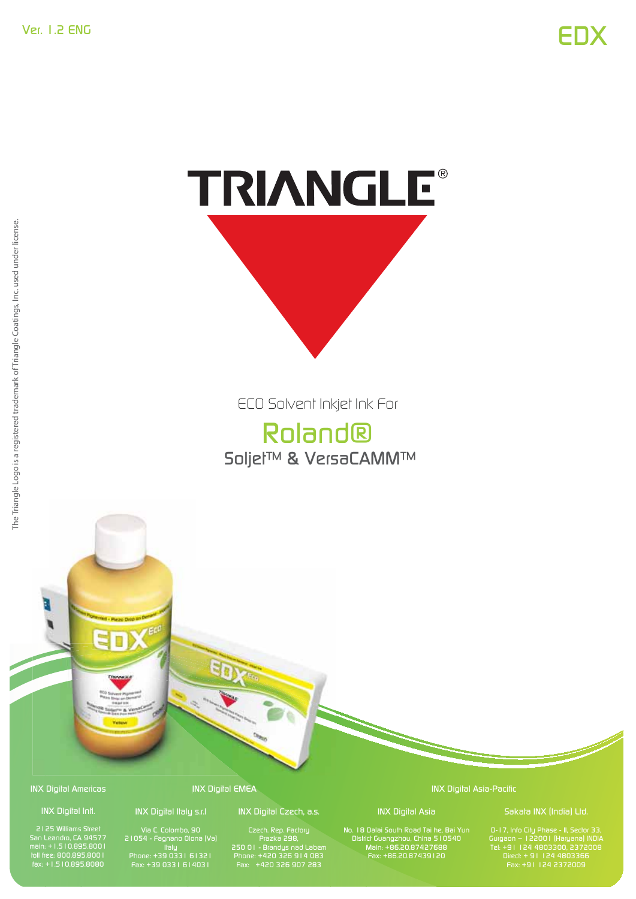# TRIANGLE®

ECO Solvent Inkjet Ink For

# Roland® Soljet™ & VersaCAMM™

INX Digital Americas s IN

#### INX Digital Intl.

2125 Williams Street San Leandro, CA 94577 main: +1.510.895.8001 toll free: 800.895.8001 fax: +1.510.895.8080

### INX Digital Italy s.r.l

INX Digital EMEA

Via C. Colombo, 90 21054 - Fagnano Olona (Va) Italy Phone: +39 0331 61321 Fax: +39 0331 614031

#### INX Digital Czech, a.s.

Czech. Rep. Factory Prazka 298, 250 01 - Brandys nad Labem Phone: +420 326 914 083 Fax: +420 326 907 283

INX Digital Asia-Pacific

INX Digital Asia No. 18 Dalai South Road Tai he, Bai Yun District Guangzhou, China 510540 Main: +86.20.87427688 Fax: +86.20.87439120

D-17, Info City Phase - II, Sector 33, Gurgaon – 122001 (Haryana) INDIA Tel: +91 124 4803300, 2372008 Fax: +91 124 2372009